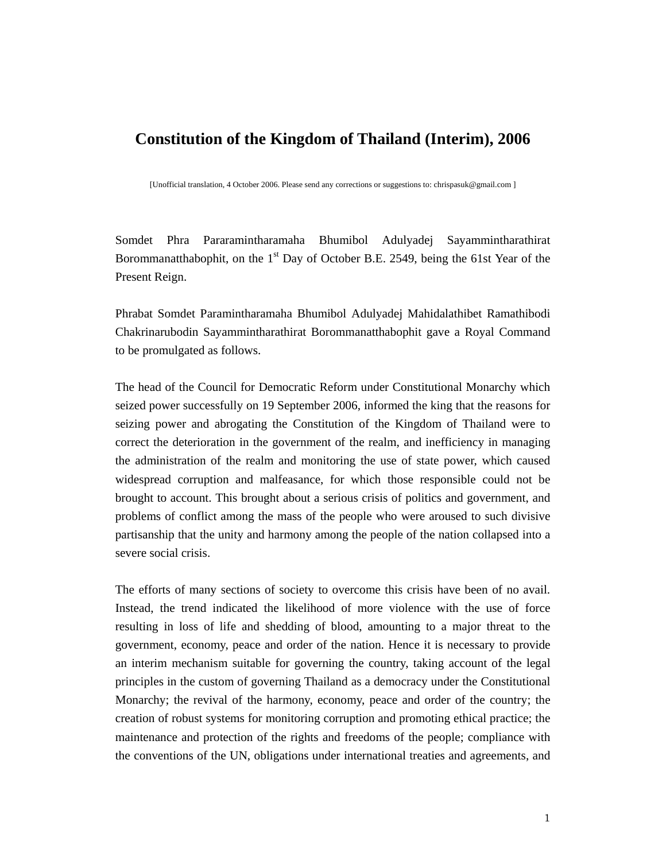## **Constitution of the Kingdom of Thailand (Interim), 2006**

[Unofficial translation, 4 October 2006. Please send any corrections or suggestions to: chrispasuk@gmail.com ]

Somdet Phra Pararamintharamaha Bhumibol Adulyadej Sayammintharathirat Borommanatthabophit, on the  $1<sup>st</sup>$  Day of October B.E. 2549, being the 61st Year of the Present Reign.

Phrabat Somdet Paramintharamaha Bhumibol Adulyadej Mahidalathibet Ramathibodi Chakrinarubodin Sayammintharathirat Borommanatthabophit gave a Royal Command to be promulgated as follows.

The head of the Council for Democratic Reform under Constitutional Monarchy which seized power successfully on 19 September 2006, informed the king that the reasons for seizing power and abrogating the Constitution of the Kingdom of Thailand were to correct the deterioration in the government of the realm, and inefficiency in managing the administration of the realm and monitoring the use of state power, which caused widespread corruption and malfeasance, for which those responsible could not be brought to account. This brought about a serious crisis of politics and government, and problems of conflict among the mass of the people who were aroused to such divisive partisanship that the unity and harmony among the people of the nation collapsed into a severe social crisis.

The efforts of many sections of society to overcome this crisis have been of no avail. Instead, the trend indicated the likelihood of more violence with the use of force resulting in loss of life and shedding of blood, amounting to a major threat to the government, economy, peace and order of the nation. Hence it is necessary to provide an interim mechanism suitable for governing the country, taking account of the legal principles in the custom of governing Thailand as a democracy under the Constitutional Monarchy; the revival of the harmony, economy, peace and order of the country; the creation of robust systems for monitoring corruption and promoting ethical practice; the maintenance and protection of the rights and freedoms of the people; compliance with the conventions of the UN, obligations under international treaties and agreements, and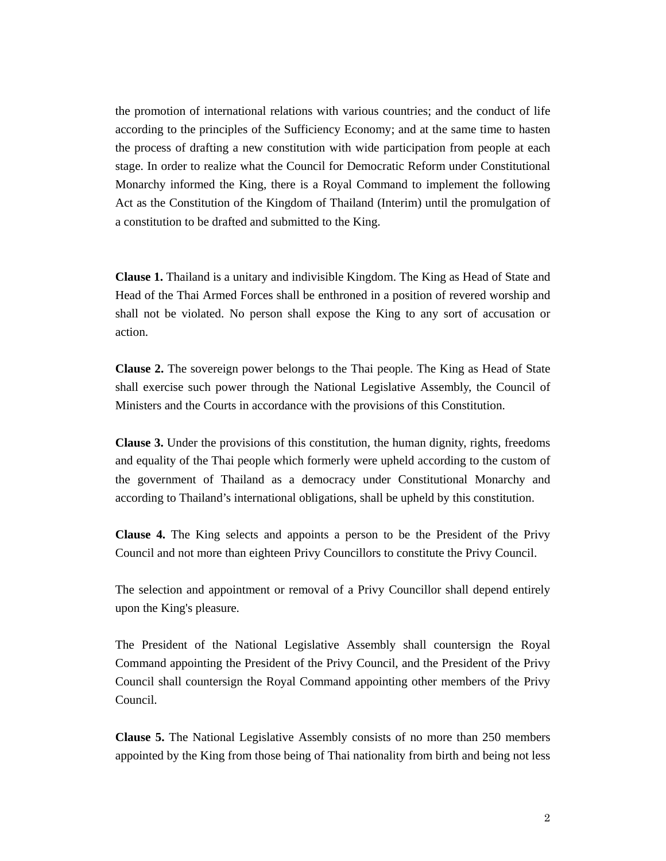the promotion of international relations with various countries; and the conduct of life according to the principles of the Sufficiency Economy; and at the same time to hasten the process of drafting a new constitution with wide participation from people at each stage. In order to realize what the Council for Democratic Reform under Constitutional Monarchy informed the King, there is a Royal Command to implement the following Act as the Constitution of the Kingdom of Thailand (Interim) until the promulgation of a constitution to be drafted and submitted to the King.

**Clause 1.** Thailand is a unitary and indivisible Kingdom. The King as Head of State and Head of the Thai Armed Forces shall be enthroned in a position of revered worship and shall not be violated. No person shall expose the King to any sort of accusation or action.

**Clause 2.** The sovereign power belongs to the Thai people. The King as Head of State shall exercise such power through the National Legislative Assembly, the Council of Ministers and the Courts in accordance with the provisions of this Constitution.

**Clause 3.** Under the provisions of this constitution, the human dignity, rights, freedoms and equality of the Thai people which formerly were upheld according to the custom of the government of Thailand as a democracy under Constitutional Monarchy and according to Thailand's international obligations, shall be upheld by this constitution.

**Clause 4.** The King selects and appoints a person to be the President of the Privy Council and not more than eighteen Privy Councillors to constitute the Privy Council.

The selection and appointment or removal of a Privy Councillor shall depend entirely upon the King's pleasure.

The President of the National Legislative Assembly shall countersign the Royal Command appointing the President of the Privy Council, and the President of the Privy Council shall countersign the Royal Command appointing other members of the Privy Council.

**Clause 5.** The National Legislative Assembly consists of no more than 250 members appointed by the King from those being of Thai nationality from birth and being not less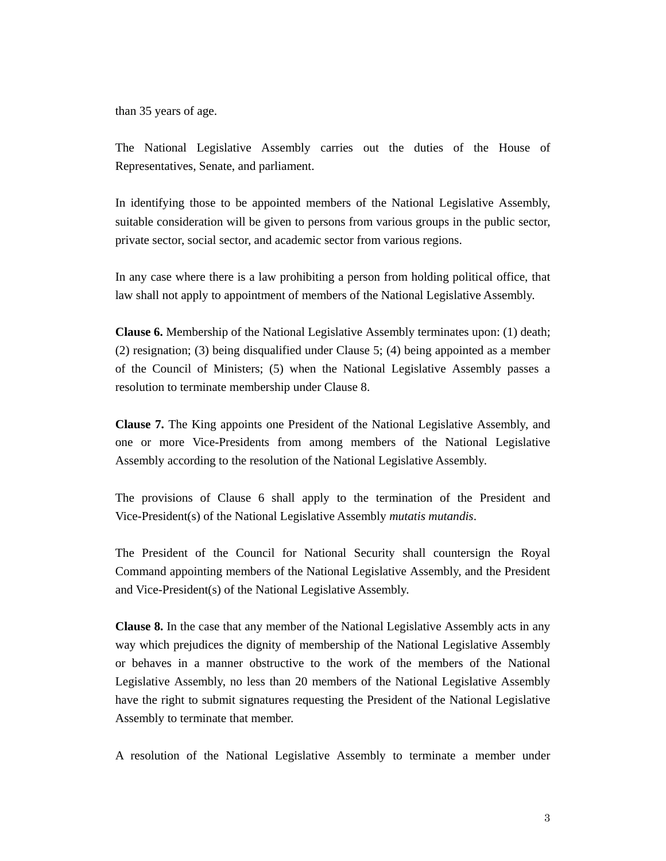than 35 years of age.

The National Legislative Assembly carries out the duties of the House of Representatives, Senate, and parliament.

In identifying those to be appointed members of the National Legislative Assembly, suitable consideration will be given to persons from various groups in the public sector, private sector, social sector, and academic sector from various regions.

In any case where there is a law prohibiting a person from holding political office, that law shall not apply to appointment of members of the National Legislative Assembly.

**Clause 6.** Membership of the National Legislative Assembly terminates upon: (1) death; (2) resignation; (3) being disqualified under Clause 5; (4) being appointed as a member of the Council of Ministers; (5) when the National Legislative Assembly passes a resolution to terminate membership under Clause 8.

**Clause 7.** The King appoints one President of the National Legislative Assembly, and one or more Vice-Presidents from among members of the National Legislative Assembly according to the resolution of the National Legislative Assembly.

The provisions of Clause 6 shall apply to the termination of the President and Vice-President(s) of the National Legislative Assembly *mutatis mutandis*.

The President of the Council for National Security shall countersign the Royal Command appointing members of the National Legislative Assembly, and the President and Vice-President(s) of the National Legislative Assembly.

**Clause 8.** In the case that any member of the National Legislative Assembly acts in any way which prejudices the dignity of membership of the National Legislative Assembly or behaves in a manner obstructive to the work of the members of the National Legislative Assembly, no less than 20 members of the National Legislative Assembly have the right to submit signatures requesting the President of the National Legislative Assembly to terminate that member.

A resolution of the National Legislative Assembly to terminate a member under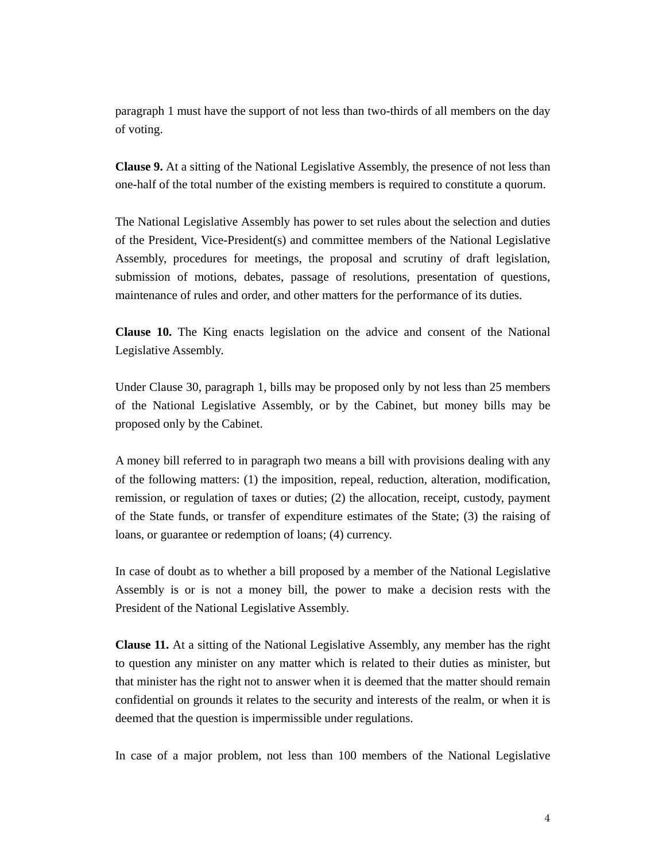paragraph 1 must have the support of not less than two-thirds of all members on the day of voting.

**Clause 9.** At a sitting of the National Legislative Assembly, the presence of not less than one-half of the total number of the existing members is required to constitute a quorum.

The National Legislative Assembly has power to set rules about the selection and duties of the President, Vice-President(s) and committee members of the National Legislative Assembly, procedures for meetings, the proposal and scrutiny of draft legislation, submission of motions, debates, passage of resolutions, presentation of questions, maintenance of rules and order, and other matters for the performance of its duties.

**Clause 10.** The King enacts legislation on the advice and consent of the National Legislative Assembly.

Under Clause 30, paragraph 1, bills may be proposed only by not less than 25 members of the National Legislative Assembly, or by the Cabinet, but money bills may be proposed only by the Cabinet.

A money bill referred to in paragraph two means a bill with provisions dealing with any of the following matters: (1) the imposition, repeal, reduction, alteration, modification, remission, or regulation of taxes or duties; (2) the allocation, receipt, custody, payment of the State funds, or transfer of expenditure estimates of the State; (3) the raising of loans, or guarantee or redemption of loans; (4) currency.

In case of doubt as to whether a bill proposed by a member of the National Legislative Assembly is or is not a money bill, the power to make a decision rests with the President of the National Legislative Assembly.

**Clause 11.** At a sitting of the National Legislative Assembly, any member has the right to question any minister on any matter which is related to their duties as minister, but that minister has the right not to answer when it is deemed that the matter should remain confidential on grounds it relates to the security and interests of the realm, or when it is deemed that the question is impermissible under regulations.

In case of a major problem, not less than 100 members of the National Legislative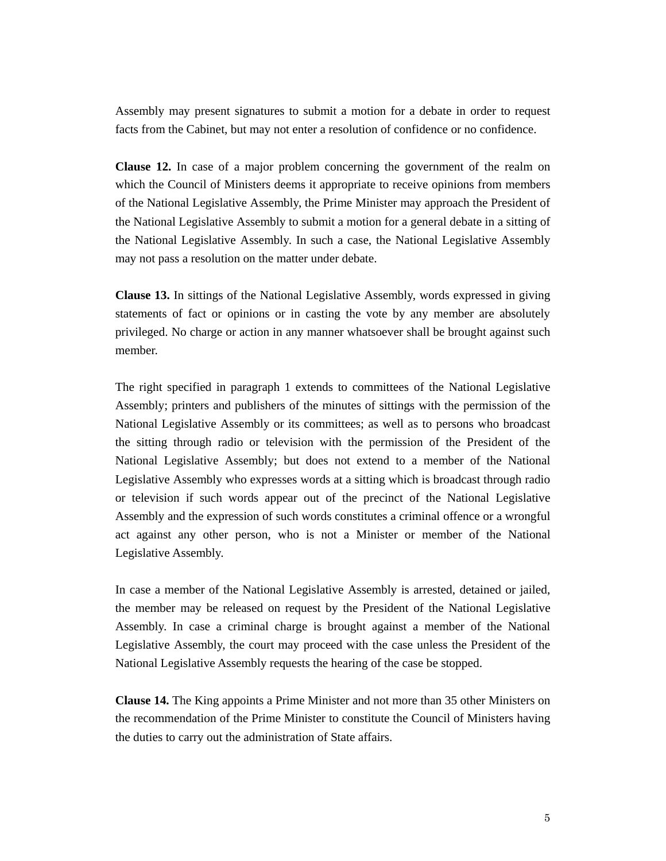Assembly may present signatures to submit a motion for a debate in order to request facts from the Cabinet, but may not enter a resolution of confidence or no confidence.

**Clause 12.** In case of a major problem concerning the government of the realm on which the Council of Ministers deems it appropriate to receive opinions from members of the National Legislative Assembly, the Prime Minister may approach the President of the National Legislative Assembly to submit a motion for a general debate in a sitting of the National Legislative Assembly. In such a case, the National Legislative Assembly may not pass a resolution on the matter under debate.

**Clause 13.** In sittings of the National Legislative Assembly, words expressed in giving statements of fact or opinions or in casting the vote by any member are absolutely privileged. No charge or action in any manner whatsoever shall be brought against such member.

The right specified in paragraph 1 extends to committees of the National Legislative Assembly; printers and publishers of the minutes of sittings with the permission of the National Legislative Assembly or its committees; as well as to persons who broadcast the sitting through radio or television with the permission of the President of the National Legislative Assembly; but does not extend to a member of the National Legislative Assembly who expresses words at a sitting which is broadcast through radio or television if such words appear out of the precinct of the National Legislative Assembly and the expression of such words constitutes a criminal offence or a wrongful act against any other person, who is not a Minister or member of the National Legislative Assembly.

In case a member of the National Legislative Assembly is arrested, detained or jailed, the member may be released on request by the President of the National Legislative Assembly. In case a criminal charge is brought against a member of the National Legislative Assembly, the court may proceed with the case unless the President of the National Legislative Assembly requests the hearing of the case be stopped.

**Clause 14.** The King appoints a Prime Minister and not more than 35 other Ministers on the recommendation of the Prime Minister to constitute the Council of Ministers having the duties to carry out the administration of State affairs.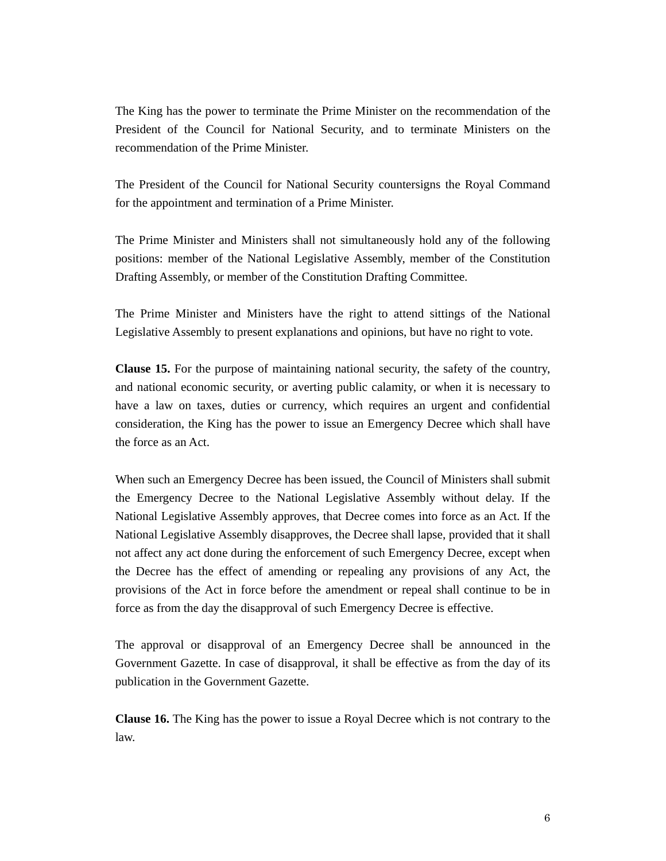The King has the power to terminate the Prime Minister on the recommendation of the President of the Council for National Security, and to terminate Ministers on the recommendation of the Prime Minister.

The President of the Council for National Security countersigns the Royal Command for the appointment and termination of a Prime Minister.

The Prime Minister and Ministers shall not simultaneously hold any of the following positions: member of the National Legislative Assembly, member of the Constitution Drafting Assembly, or member of the Constitution Drafting Committee.

The Prime Minister and Ministers have the right to attend sittings of the National Legislative Assembly to present explanations and opinions, but have no right to vote.

**Clause 15.** For the purpose of maintaining national security, the safety of the country, and national economic security, or averting public calamity, or when it is necessary to have a law on taxes, duties or currency, which requires an urgent and confidential consideration, the King has the power to issue an Emergency Decree which shall have the force as an Act.

When such an Emergency Decree has been issued, the Council of Ministers shall submit the Emergency Decree to the National Legislative Assembly without delay. If the National Legislative Assembly approves, that Decree comes into force as an Act. If the National Legislative Assembly disapproves, the Decree shall lapse, provided that it shall not affect any act done during the enforcement of such Emergency Decree, except when the Decree has the effect of amending or repealing any provisions of any Act, the provisions of the Act in force before the amendment or repeal shall continue to be in force as from the day the disapproval of such Emergency Decree is effective.

The approval or disapproval of an Emergency Decree shall be announced in the Government Gazette. In case of disapproval, it shall be effective as from the day of its publication in the Government Gazette.

**Clause 16.** The King has the power to issue a Royal Decree which is not contrary to the law.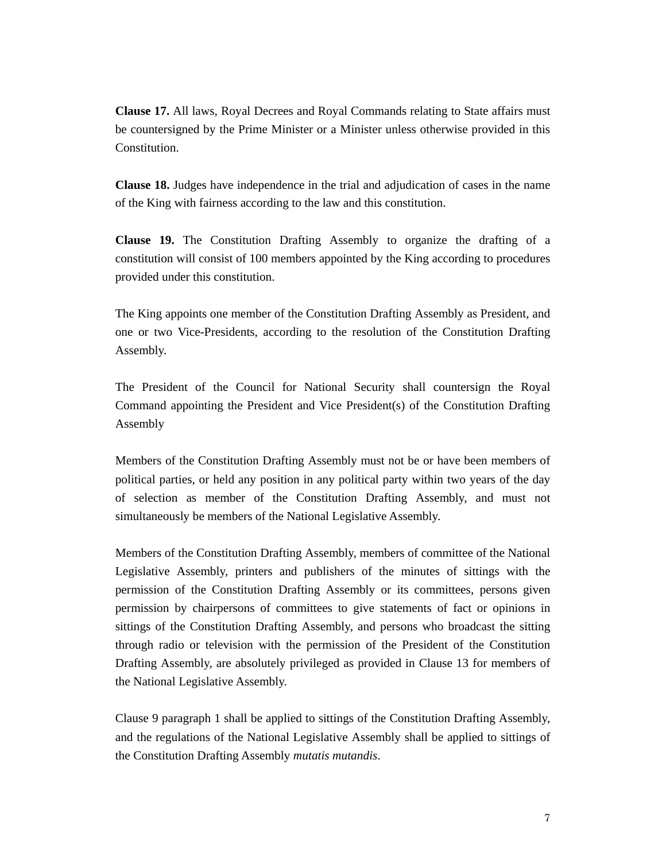**Clause 17.** All laws, Royal Decrees and Royal Commands relating to State affairs must be countersigned by the Prime Minister or a Minister unless otherwise provided in this Constitution.

**Clause 18.** Judges have independence in the trial and adjudication of cases in the name of the King with fairness according to the law and this constitution.

**Clause 19.** The Constitution Drafting Assembly to organize the drafting of a constitution will consist of 100 members appointed by the King according to procedures provided under this constitution.

The King appoints one member of the Constitution Drafting Assembly as President, and one or two Vice-Presidents, according to the resolution of the Constitution Drafting Assembly.

The President of the Council for National Security shall countersign the Royal Command appointing the President and Vice President(s) of the Constitution Drafting Assembly

Members of the Constitution Drafting Assembly must not be or have been members of political parties, or held any position in any political party within two years of the day of selection as member of the Constitution Drafting Assembly, and must not simultaneously be members of the National Legislative Assembly.

Members of the Constitution Drafting Assembly, members of committee of the National Legislative Assembly, printers and publishers of the minutes of sittings with the permission of the Constitution Drafting Assembly or its committees, persons given permission by chairpersons of committees to give statements of fact or opinions in sittings of the Constitution Drafting Assembly, and persons who broadcast the sitting through radio or television with the permission of the President of the Constitution Drafting Assembly, are absolutely privileged as provided in Clause 13 for members of the National Legislative Assembly.

Clause 9 paragraph 1 shall be applied to sittings of the Constitution Drafting Assembly, and the regulations of the National Legislative Assembly shall be applied to sittings of the Constitution Drafting Assembly *mutatis mutandis*.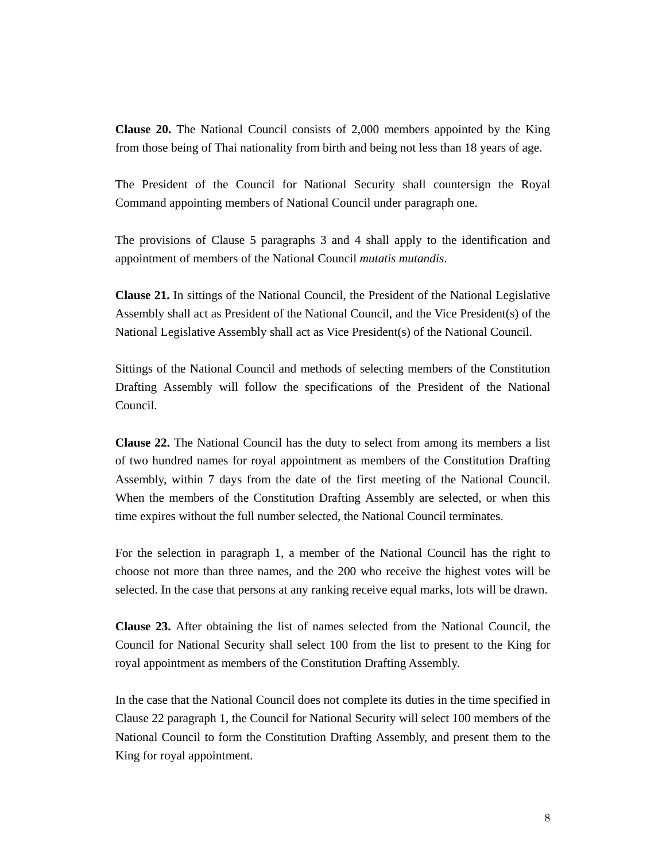**Clause 20.** The National Council consists of 2,000 members appointed by the King from those being of Thai nationality from birth and being not less than 18 years of age.

The President of the Council for National Security shall countersign the Royal Command appointing members of National Council under paragraph one.

The provisions of Clause 5 paragraphs 3 and 4 shall apply to the identification and appointment of members of the National Council *mutatis mutandis*.

**Clause 21.** In sittings of the National Council, the President of the National Legislative Assembly shall act as President of the National Council, and the Vice President(s) of the National Legislative Assembly shall act as Vice President(s) of the National Council.

Sittings of the National Council and methods of selecting members of the Constitution Drafting Assembly will follow the specifications of the President of the National Council.

**Clause 22.** The National Council has the duty to select from among its members a list of two hundred names for royal appointment as members of the Constitution Drafting Assembly, within 7 days from the date of the first meeting of the National Council. When the members of the Constitution Drafting Assembly are selected, or when this time expires without the full number selected, the National Council terminates.

For the selection in paragraph 1, a member of the National Council has the right to choose not more than three names, and the 200 who receive the highest votes will be selected. In the case that persons at any ranking receive equal marks, lots will be drawn.

**Clause 23.** After obtaining the list of names selected from the National Council, the Council for National Security shall select 100 from the list to present to the King for royal appointment as members of the Constitution Drafting Assembly.

In the case that the National Council does not complete its duties in the time specified in Clause 22 paragraph 1, the Council for National Security will select 100 members of the National Council to form the Constitution Drafting Assembly, and present them to the King for royal appointment.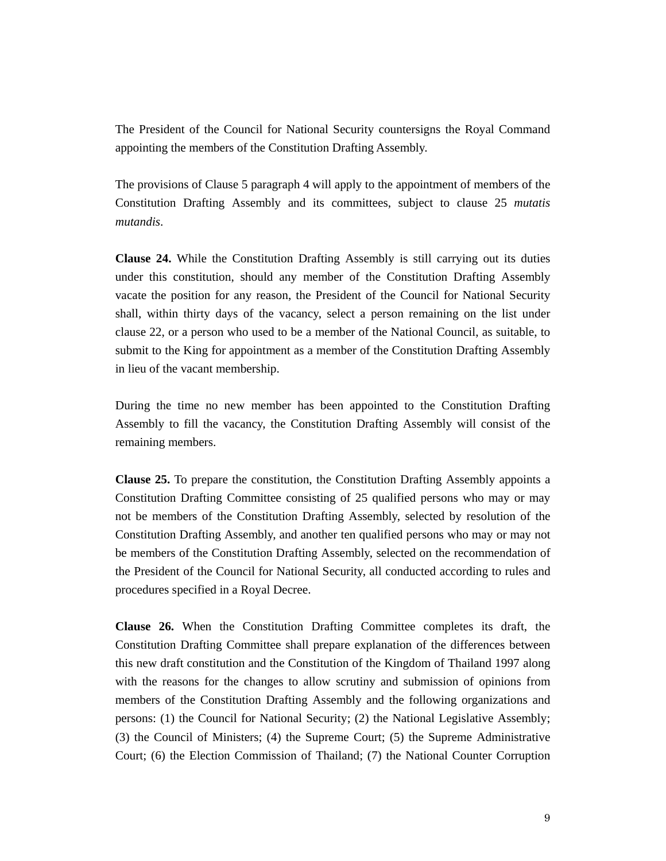The President of the Council for National Security countersigns the Royal Command appointing the members of the Constitution Drafting Assembly.

The provisions of Clause 5 paragraph 4 will apply to the appointment of members of the Constitution Drafting Assembly and its committees, subject to clause 25 *mutatis mutandis*.

**Clause 24.** While the Constitution Drafting Assembly is still carrying out its duties under this constitution, should any member of the Constitution Drafting Assembly vacate the position for any reason, the President of the Council for National Security shall, within thirty days of the vacancy, select a person remaining on the list under clause 22, or a person who used to be a member of the National Council, as suitable, to submit to the King for appointment as a member of the Constitution Drafting Assembly in lieu of the vacant membership.

During the time no new member has been appointed to the Constitution Drafting Assembly to fill the vacancy, the Constitution Drafting Assembly will consist of the remaining members.

**Clause 25.** To prepare the constitution, the Constitution Drafting Assembly appoints a Constitution Drafting Committee consisting of 25 qualified persons who may or may not be members of the Constitution Drafting Assembly, selected by resolution of the Constitution Drafting Assembly, and another ten qualified persons who may or may not be members of the Constitution Drafting Assembly, selected on the recommendation of the President of the Council for National Security, all conducted according to rules and procedures specified in a Royal Decree.

**Clause 26.** When the Constitution Drafting Committee completes its draft, the Constitution Drafting Committee shall prepare explanation of the differences between this new draft constitution and the Constitution of the Kingdom of Thailand 1997 along with the reasons for the changes to allow scrutiny and submission of opinions from members of the Constitution Drafting Assembly and the following organizations and persons: (1) the Council for National Security; (2) the National Legislative Assembly; (3) the Council of Ministers; (4) the Supreme Court; (5) the Supreme Administrative Court; (6) the Election Commission of Thailand; (7) the National Counter Corruption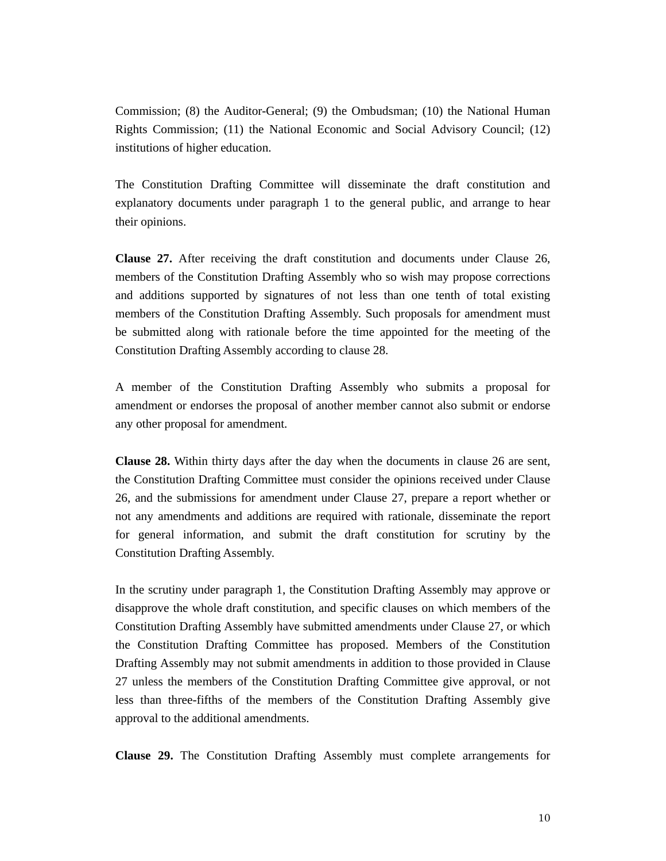Commission; (8) the Auditor-General; (9) the Ombudsman; (10) the National Human Rights Commission; (11) the National Economic and Social Advisory Council; (12) institutions of higher education.

The Constitution Drafting Committee will disseminate the draft constitution and explanatory documents under paragraph 1 to the general public, and arrange to hear their opinions.

**Clause 27.** After receiving the draft constitution and documents under Clause 26, members of the Constitution Drafting Assembly who so wish may propose corrections and additions supported by signatures of not less than one tenth of total existing members of the Constitution Drafting Assembly. Such proposals for amendment must be submitted along with rationale before the time appointed for the meeting of the Constitution Drafting Assembly according to clause 28.

A member of the Constitution Drafting Assembly who submits a proposal for amendment or endorses the proposal of another member cannot also submit or endorse any other proposal for amendment.

**Clause 28.** Within thirty days after the day when the documents in clause 26 are sent, the Constitution Drafting Committee must consider the opinions received under Clause 26, and the submissions for amendment under Clause 27, prepare a report whether or not any amendments and additions are required with rationale, disseminate the report for general information, and submit the draft constitution for scrutiny by the Constitution Drafting Assembly.

In the scrutiny under paragraph 1, the Constitution Drafting Assembly may approve or disapprove the whole draft constitution, and specific clauses on which members of the Constitution Drafting Assembly have submitted amendments under Clause 27, or which the Constitution Drafting Committee has proposed. Members of the Constitution Drafting Assembly may not submit amendments in addition to those provided in Clause 27 unless the members of the Constitution Drafting Committee give approval, or not less than three-fifths of the members of the Constitution Drafting Assembly give approval to the additional amendments.

**Clause 29.** The Constitution Drafting Assembly must complete arrangements for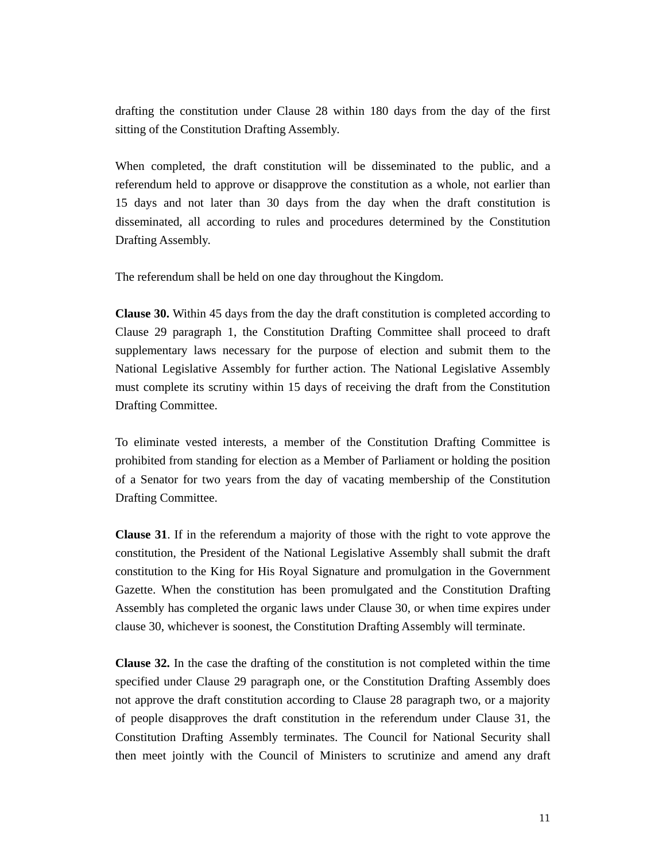drafting the constitution under Clause 28 within 180 days from the day of the first sitting of the Constitution Drafting Assembly.

When completed, the draft constitution will be disseminated to the public, and a referendum held to approve or disapprove the constitution as a whole, not earlier than 15 days and not later than 30 days from the day when the draft constitution is disseminated, all according to rules and procedures determined by the Constitution Drafting Assembly.

The referendum shall be held on one day throughout the Kingdom.

**Clause 30.** Within 45 days from the day the draft constitution is completed according to Clause 29 paragraph 1, the Constitution Drafting Committee shall proceed to draft supplementary laws necessary for the purpose of election and submit them to the National Legislative Assembly for further action. The National Legislative Assembly must complete its scrutiny within 15 days of receiving the draft from the Constitution Drafting Committee.

To eliminate vested interests, a member of the Constitution Drafting Committee is prohibited from standing for election as a Member of Parliament or holding the position of a Senator for two years from the day of vacating membership of the Constitution Drafting Committee.

**Clause 31**. If in the referendum a majority of those with the right to vote approve the constitution, the President of the National Legislative Assembly shall submit the draft constitution to the King for His Royal Signature and promulgation in the Government Gazette. When the constitution has been promulgated and the Constitution Drafting Assembly has completed the organic laws under Clause 30, or when time expires under clause 30, whichever is soonest, the Constitution Drafting Assembly will terminate.

**Clause 32.** In the case the drafting of the constitution is not completed within the time specified under Clause 29 paragraph one, or the Constitution Drafting Assembly does not approve the draft constitution according to Clause 28 paragraph two, or a majority of people disapproves the draft constitution in the referendum under Clause 31, the Constitution Drafting Assembly terminates. The Council for National Security shall then meet jointly with the Council of Ministers to scrutinize and amend any draft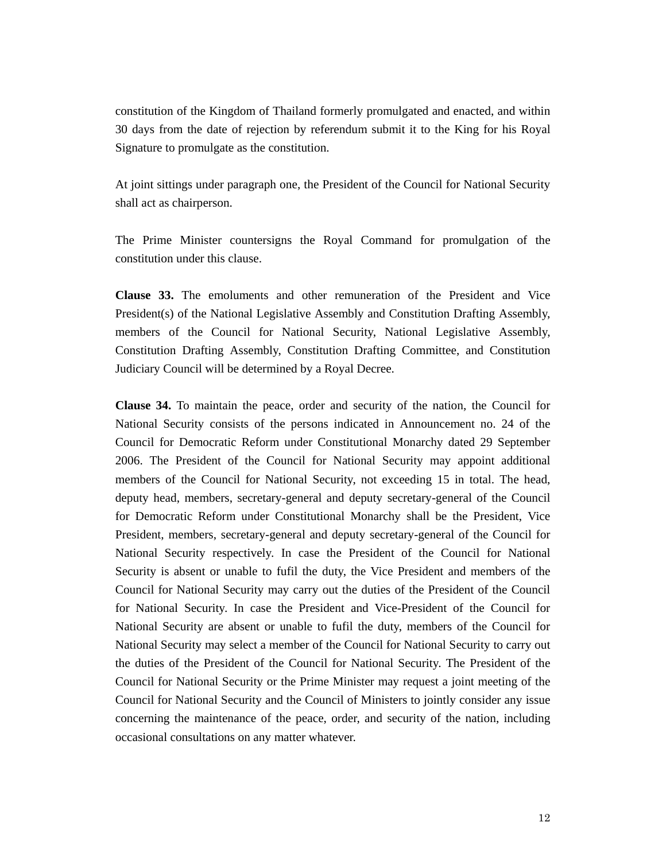constitution of the Kingdom of Thailand formerly promulgated and enacted, and within 30 days from the date of rejection by referendum submit it to the King for his Royal Signature to promulgate as the constitution.

At joint sittings under paragraph one, the President of the Council for National Security shall act as chairperson.

The Prime Minister countersigns the Royal Command for promulgation of the constitution under this clause.

**Clause 33.** The emoluments and other remuneration of the President and Vice President(s) of the National Legislative Assembly and Constitution Drafting Assembly, members of the Council for National Security, National Legislative Assembly, Constitution Drafting Assembly, Constitution Drafting Committee, and Constitution Judiciary Council will be determined by a Royal Decree.

**Clause 34.** To maintain the peace, order and security of the nation, the Council for National Security consists of the persons indicated in Announcement no. 24 of the Council for Democratic Reform under Constitutional Monarchy dated 29 September 2006. The President of the Council for National Security may appoint additional members of the Council for National Security, not exceeding 15 in total. The head, deputy head, members, secretary-general and deputy secretary-general of the Council for Democratic Reform under Constitutional Monarchy shall be the President, Vice President, members, secretary-general and deputy secretary-general of the Council for National Security respectively. In case the President of the Council for National Security is absent or unable to fufil the duty, the Vice President and members of the Council for National Security may carry out the duties of the President of the Council for National Security. In case the President and Vice-President of the Council for National Security are absent or unable to fufil the duty, members of the Council for National Security may select a member of the Council for National Security to carry out the duties of the President of the Council for National Security. The President of the Council for National Security or the Prime Minister may request a joint meeting of the Council for National Security and the Council of Ministers to jointly consider any issue concerning the maintenance of the peace, order, and security of the nation, including occasional consultations on any matter whatever.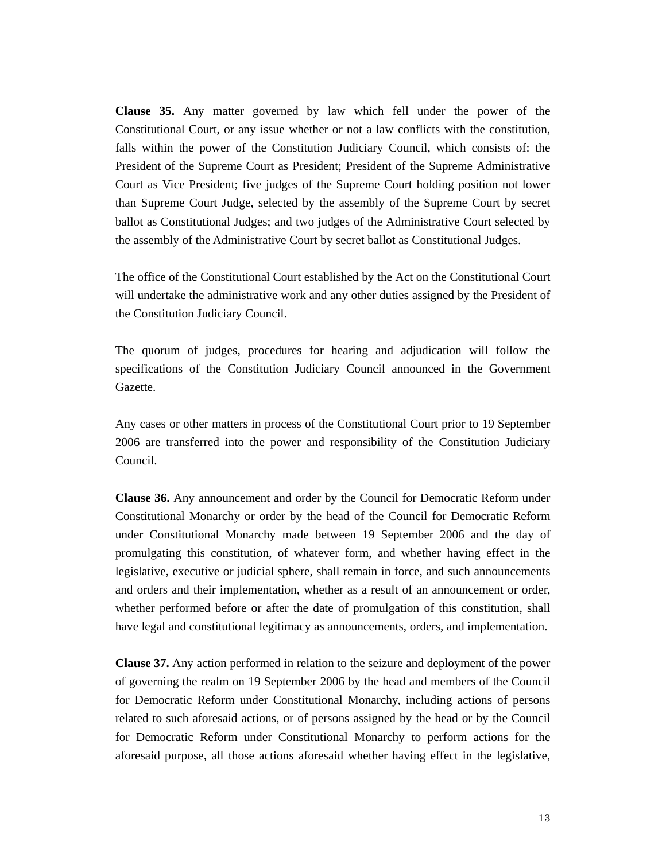**Clause 35.** Any matter governed by law which fell under the power of the Constitutional Court, or any issue whether or not a law conflicts with the constitution, falls within the power of the Constitution Judiciary Council, which consists of: the President of the Supreme Court as President; President of the Supreme Administrative Court as Vice President; five judges of the Supreme Court holding position not lower than Supreme Court Judge, selected by the assembly of the Supreme Court by secret ballot as Constitutional Judges; and two judges of the Administrative Court selected by the assembly of the Administrative Court by secret ballot as Constitutional Judges.

The office of the Constitutional Court established by the Act on the Constitutional Court will undertake the administrative work and any other duties assigned by the President of the Constitution Judiciary Council.

The quorum of judges, procedures for hearing and adjudication will follow the specifications of the Constitution Judiciary Council announced in the Government Gazette.

Any cases or other matters in process of the Constitutional Court prior to 19 September 2006 are transferred into the power and responsibility of the Constitution Judiciary Council.

**Clause 36.** Any announcement and order by the Council for Democratic Reform under Constitutional Monarchy or order by the head of the Council for Democratic Reform under Constitutional Monarchy made between 19 September 2006 and the day of promulgating this constitution, of whatever form, and whether having effect in the legislative, executive or judicial sphere, shall remain in force, and such announcements and orders and their implementation, whether as a result of an announcement or order, whether performed before or after the date of promulgation of this constitution, shall have legal and constitutional legitimacy as announcements, orders, and implementation.

**Clause 37.** Any action performed in relation to the seizure and deployment of the power of governing the realm on 19 September 2006 by the head and members of the Council for Democratic Reform under Constitutional Monarchy, including actions of persons related to such aforesaid actions, or of persons assigned by the head or by the Council for Democratic Reform under Constitutional Monarchy to perform actions for the aforesaid purpose, all those actions aforesaid whether having effect in the legislative,